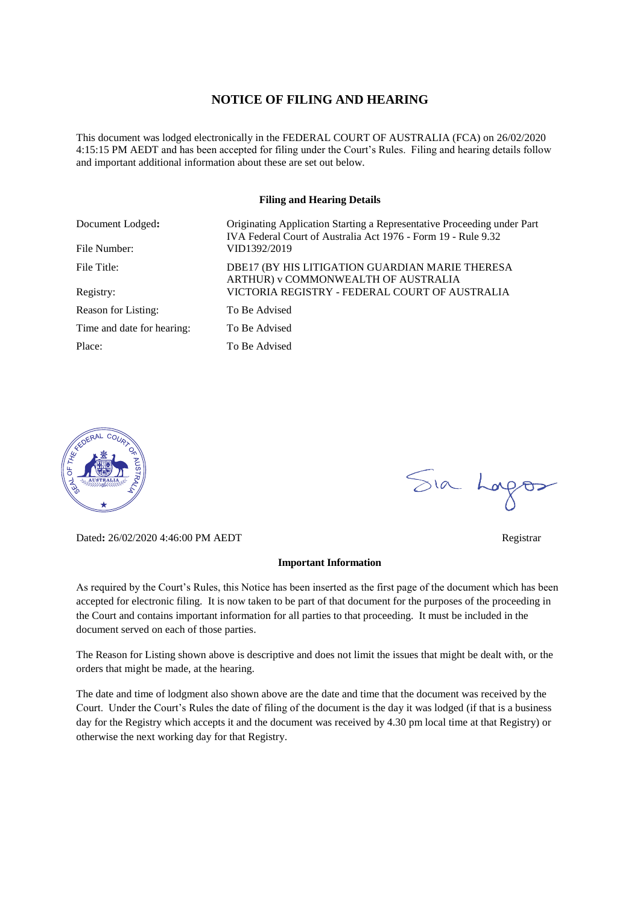#### **NOTICE OF FILING AND HEARING**

This document was lodged electronically in the FEDERAL COURT OF AUSTRALIA (FCA) on 26/02/2020 4:15:15 PM AEDT and has been accepted for filing under the Court's Rules. Filing and hearing details follow and important additional information about these are set out below.

#### **Filing and Hearing Details**

| Document Lodged:           | Originating Application Starting a Representative Proceeding under Part<br>IVA Federal Court of Australia Act 1976 - Form 19 - Rule 9.32 |
|----------------------------|------------------------------------------------------------------------------------------------------------------------------------------|
| File Number:               | VID1392/2019                                                                                                                             |
| File Title:                | DBE17 (BY HIS LITIGATION GUARDIAN MARIE THERESA<br>ARTHUR) v COMMONWEALTH OF AUSTRALIA                                                   |
| Registry:                  | VICTORIA REGISTRY - FEDERAL COURT OF AUSTRALIA                                                                                           |
| Reason for Listing:        | To Be Advised                                                                                                                            |
| Time and date for hearing: | To Be Advised                                                                                                                            |
| Place:                     | To Be Advised                                                                                                                            |



Dated**:** 26/02/2020 4:46:00 PM AEDT Registrar

#### **Important Information**

As required by the Court's Rules, this Notice has been inserted as the first page of the document which has been accepted for electronic filing. It is now taken to be part of that document for the purposes of the proceeding in the Court and contains important information for all parties to that proceeding. It must be included in the document served on each of those parties.

The Reason for Listing shown above is descriptive and does not limit the issues that might be dealt with, or the orders that might be made, at the hearing.

The date and time of lodgment also shown above are the date and time that the document was received by the Court. Under the Court's Rules the date of filing of the document is the day it was lodged (if that is a business day for the Registry which accepts it and the document was received by 4.30 pm local time at that Registry) or otherwise the next working day for that Registry.

Sia Logos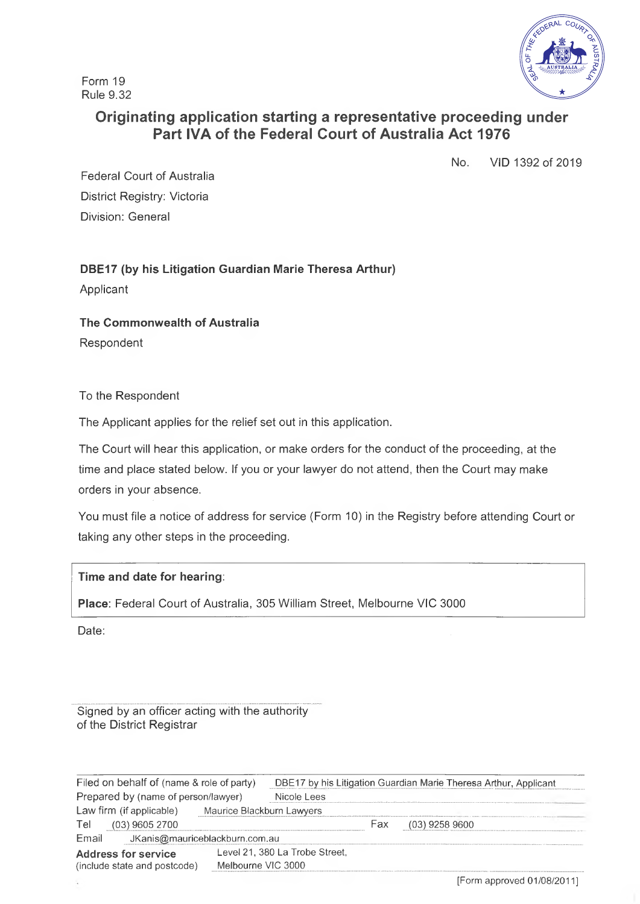Form 19 Rule 9.32



# **Originating application starting a representative proceeding under Part IVA of the Federal Court of Australia Act 1976**

No. VID 1392 of 2019

Federal Court of Australia District Registry: Victoria Division: General

**DBE17 (by his Litigation Guardian Marie Theresa Arthur)** Applicant

**The Commonwealth of Australia** Respondent

To the Respondent

The Applicant applies for the relief set out in this application.

The Court will hear this application, or make orders for the conduct of the proceeding, at the time and place stated below. If you or your lawyer do not attend, then the Court may make orders in your absence.

You must file a notice of address for service (Form 10) in the Registry before attending Court or taking any other steps in the proceeding.

**Time and date for hearing:**

**Place:** Federal Court of Australia, 305 William Street, Melbourne VIC 3000

Date:

Signed by an officer acting with the authority of the District Registrar

| Filed on behalf of (name & role of party)                  |  | DBE17 by his Litigation Guardian Marie Theresa Arthur, Applicant |                                |     |                  |  |
|------------------------------------------------------------|--|------------------------------------------------------------------|--------------------------------|-----|------------------|--|
| Prepared by (name of person/lawyer)                        |  | Nicole Lees                                                      |                                |     |                  |  |
| Law firm (if applicable)<br>Maurice Blackburn Lawyers      |  |                                                                  |                                |     |                  |  |
| <b>Tel</b><br>$(03)$ 9605 2700                             |  |                                                                  |                                | Fax | $(03)$ 9258 9600 |  |
| Email<br>JKanis@mauriceblackburn.com.au                    |  |                                                                  |                                |     |                  |  |
| <b>Address for service</b><br>(include state and postcode) |  |                                                                  | Level 21, 380 La Trobe Street, |     |                  |  |
|                                                            |  | Melbourne VIC 3000                                               |                                |     |                  |  |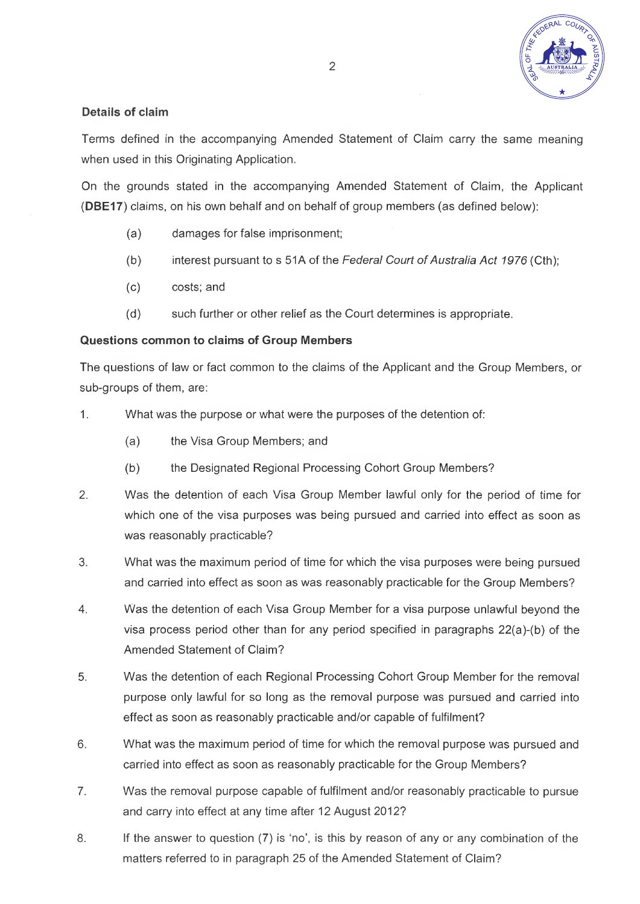

### **Details of claim**

Terms defined in the accompanying Amended Statement of Claim carry the same meaning when used in this Originating Application.

On the grounds stated in the accompanying Amended Statement of Claim, the Applicant **(DBE17)** claims, on his own behalf and on behalf of group members (as defined below):

- (a) damages for false imprisonment;
- (b) interest pursuant to s 51A of the *Federal Court ofAustralia Act 1976* (Cth);
- (c) costs; and
- (d) such further or other relief as the Court determines is appropriate.

### **Questions common to claims of Group Members**

The questions of law or fact common to the claims of the Applicant and the Group Members, or sub-groups of them, are:

- 1. What was the purpose or what were the purposes of the detention of:
	- (a) the Visa Group Members; and
	- (b) the Designated Regional Processing Cohort Group Members?
- 2. Was the detention of each Visa Group Member lawful only for the period of time for which one of the visa purposes was being pursued and carried into effect as soon as was reasonably practicable?
- 3. What was the maximum period of time for which the visa purposes were being pursued and carried into effect as soon as was reasonably practicable for the Group Members?
- 4. Was the detention of each Visa Group Member for a visa purpose unlawful beyond the visa process period other than for any period specified in paragraphs 22(a)-(b) of the Amended Statement of Claim?
- 5. Was the detention of each Regional Processing Cohort Group Member for the removal purpose only lawful for so long as the removal purpose was pursued and carried into effect as soon as reasonably practicable and/or capable of fulfilment?
- 6. What was the maximum period of time for which the removal purpose was pursued and carried into effect as soon as reasonably practicable for the Group Members?
- 7. Was the removal purpose capable of fulfilment and/or reasonably practicable to pursue and carry into effect at any time after 12 August 2012?
- 8. If the answer to question (7) is 'no', is this by reason of any or any combination of the matters referred to in paragraph 25 of the Amended Statement of Claim?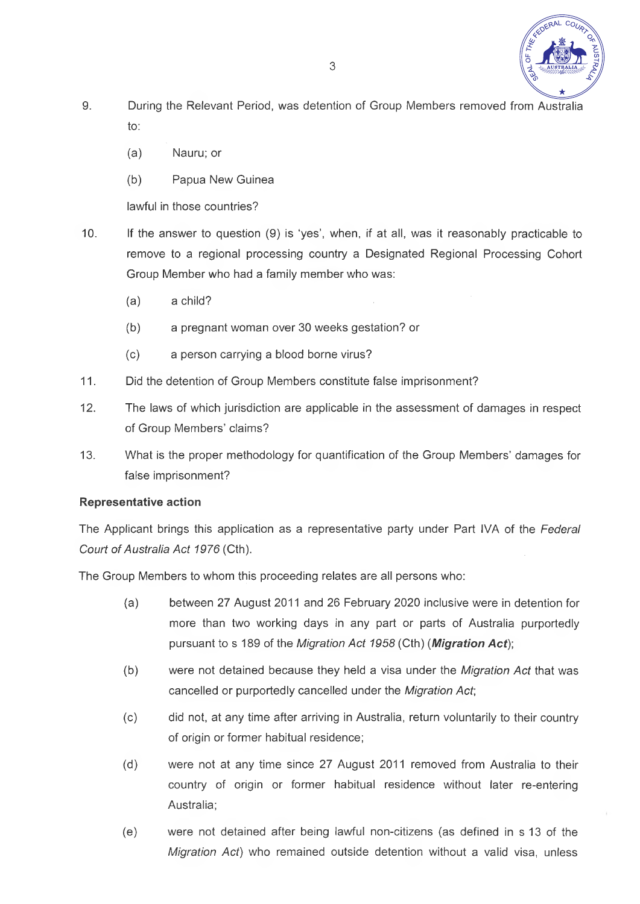

- 9. During the Relevant Period, was detention of Group Members removed from Australia to:
	- (a) Nauru; or
	- (b) Papua New Guinea

lawful in those countries?

- 10. If the answer to question (9) is 'yes', when, if at all, was it reasonably practicable to remove to a regional processing country a Designated Regional Processing Cohort Group Member who had a family member who was:
	- (a) a child?
	- (b) a pregnant woman over 30 weeks gestation? or
	- (c) a person carrying a blood borne virus?
- 11. Did the detention of Group Members constitute false imprisonment?
- 12. The laws of which jurisdiction are applicable in the assessment of damages in respect of Group Members' claims?
- 13. What is the proper methodology for quantification of the Group Members' damages for false imprisonment?

## **Representative action**

The Applicant brings this application as a representative party under Part IVA of the *Federal Court ofAustralia Act 1976* (Cth).

The Group Members to whom this proceeding relates are all persons who:

- (a) between 27 August 2011 and 26 February 2020 inclusive were in detention for more than two working days in any part or parts of Australia purportedly pursuant to s 189 of the *Migration Act 1958* (Cth) (*Migration Act)',*
- (b) were not detained because they held a visa under the *Migration Act* that was cancelled or purportedly cancelled under the *Migration Act*;
- (c) did not, at any time after arriving in Australia, return voluntarily to their country of origin or former habitual residence;
- (d) were not at any time since 27 August 2011 removed from Australia to their country of origin or former habitual residence without later re-entering Australia;
- (e) were not detained after being lawful non-citizens (as defined in s 13 of the *Migration Act)* who remained outside detention without a valid visa, unless